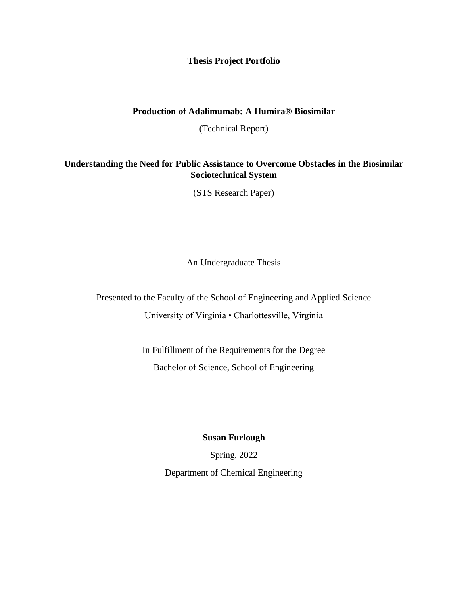### **Thesis Project Portfolio**

### **Production of Adalimumab: A Humira® Biosimilar**

(Technical Report)

## **Understanding the Need for Public Assistance to Overcome Obstacles in the Biosimilar Sociotechnical System**

(STS Research Paper)

An Undergraduate Thesis

Presented to the Faculty of the School of Engineering and Applied Science University of Virginia • Charlottesville, Virginia

> In Fulfillment of the Requirements for the Degree Bachelor of Science, School of Engineering

#### **Susan Furlough**

Spring, 2022 Department of Chemical Engineering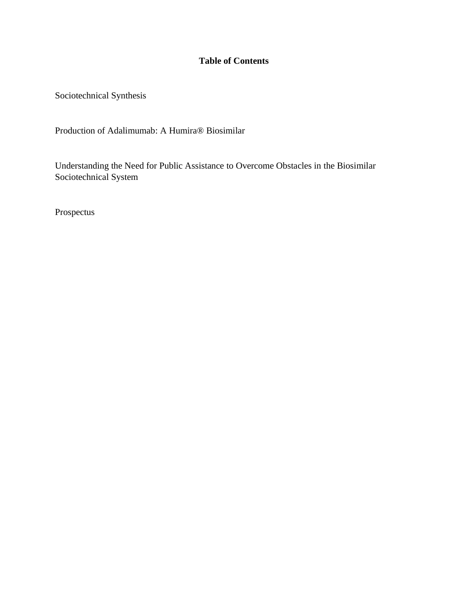# **Table of Contents**

Sociotechnical Synthesis

Production of Adalimumab: A Humira® Biosimilar

Understanding the Need for Public Assistance to Overcome Obstacles in the Biosimilar Sociotechnical System

Prospectus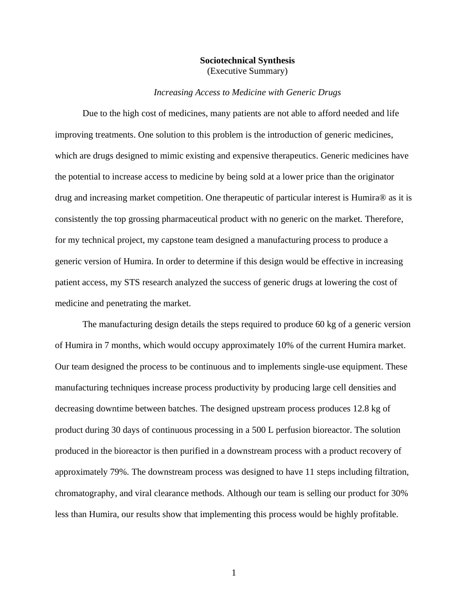#### **Sociotechnical Synthesis** (Executive Summary)

#### *Increasing Access to Medicine with Generic Drugs*

Due to the high cost of medicines, many patients are not able to afford needed and life improving treatments. One solution to this problem is the introduction of generic medicines, which are drugs designed to mimic existing and expensive therapeutics. Generic medicines have the potential to increase access to medicine by being sold at a lower price than the originator drug and increasing market competition. One therapeutic of particular interest is Humira® as it is consistently the top grossing pharmaceutical product with no generic on the market. Therefore, for my technical project, my capstone team designed a manufacturing process to produce a generic version of Humira. In order to determine if this design would be effective in increasing patient access, my STS research analyzed the success of generic drugs at lowering the cost of medicine and penetrating the market.

The manufacturing design details the steps required to produce 60 kg of a generic version of Humira in 7 months, which would occupy approximately 10% of the current Humira market. Our team designed the process to be continuous and to implements single-use equipment. These manufacturing techniques increase process productivity by producing large cell densities and decreasing downtime between batches. The designed upstream process produces 12.8 kg of product during 30 days of continuous processing in a 500 L perfusion bioreactor. The solution produced in the bioreactor is then purified in a downstream process with a product recovery of approximately 79%. The downstream process was designed to have 11 steps including filtration, chromatography, and viral clearance methods. Although our team is selling our product for 30% less than Humira, our results show that implementing this process would be highly profitable.

1